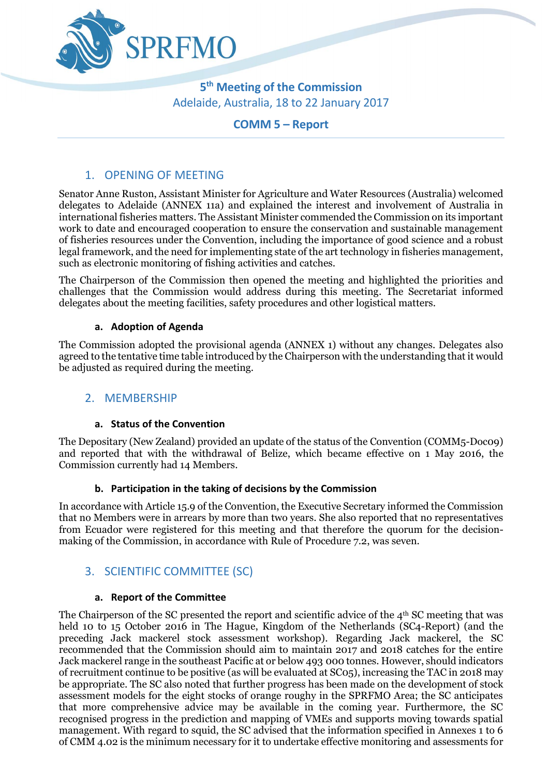

**5 th Meeting of the Commission** Adelaide, Australia, 18 to 22 January 2017

# **COMM 5 – Report**

# 1. OPENING OF MEETING

Senator Anne Ruston, Assistant Minister for Agriculture and Water Resources (Australia) welcomed delegates to Adelaide (ANNEX 11a) and explained the interest and involvement of Australia in international fisheries matters. The Assistant Minister commended the Commission on its important work to date and encouraged cooperation to ensure the conservation and sustainable management of fisheries resources under the Convention, including the importance of good science and a robust legal framework, and the need for implementing state of the art technology in fisheries management, such as electronic monitoring of fishing activities and catches.

The Chairperson of the Commission then opened the meeting and highlighted the priorities and challenges that the Commission would address during this meeting. The Secretariat informed delegates about the meeting facilities, safety procedures and other logistical matters.

#### **a. Adoption of Agenda**

The Commission adopted the provisional agenda (ANNEX 1) without any changes. Delegates also agreed to the tentative time table introduced by the Chairperson with the understanding that it would be adjusted as required during the meeting.

# 2. MEMBERSHIP

#### **a. Status of the Convention**

The Depositary (New Zealand) provided an update of the status of the Convention (COMM5-Doc09) and reported that with the withdrawal of Belize, which became effective on 1 May 2016, the Commission currently had 14 Members.

#### **b. Participation in the taking of decisions by the Commission**

In accordance with Article 15.9 of the Convention, the Executive Secretary informed the Commission that no Members were in arrears by more than two years. She also reported that no representatives from Ecuador were registered for this meeting and that therefore the quorum for the decisionmaking of the Commission, in accordance with Rule of Procedure 7.2, was seven.

# 3. SCIENTIFIC COMMITTEE (SC)

#### **a. Report of the Committee**

The Chairperson of the SC presented the report and scientific advice of the  $4<sup>th</sup>$  SC meeting that was held 10 to 15 October 2016 in The Hague, Kingdom of the Netherlands (SC4-Report) (and the preceding Jack mackerel stock assessment workshop). Regarding Jack mackerel, the SC recommended that the Commission should aim to maintain 2017 and 2018 catches for the entire Jack mackerel range in the southeast Pacific at or below 493 000 tonnes. However, should indicators of recruitment continue to be positive (as will be evaluated at SC05), increasing the TAC in 2018 may be appropriate. The SC also noted that further progress has been made on the development of stock assessment models for the eight stocks of orange roughy in the SPRFMO Area; the SC anticipates that more comprehensive advice may be available in the coming year. Furthermore, the SC recognised progress in the prediction and mapping of VMEs and supports moving towards spatial management. With regard to squid, the SC advised that the information specified in Annexes 1 to 6 of CMM 4.02 is the minimum necessary for it to undertake effective monitoring and assessments for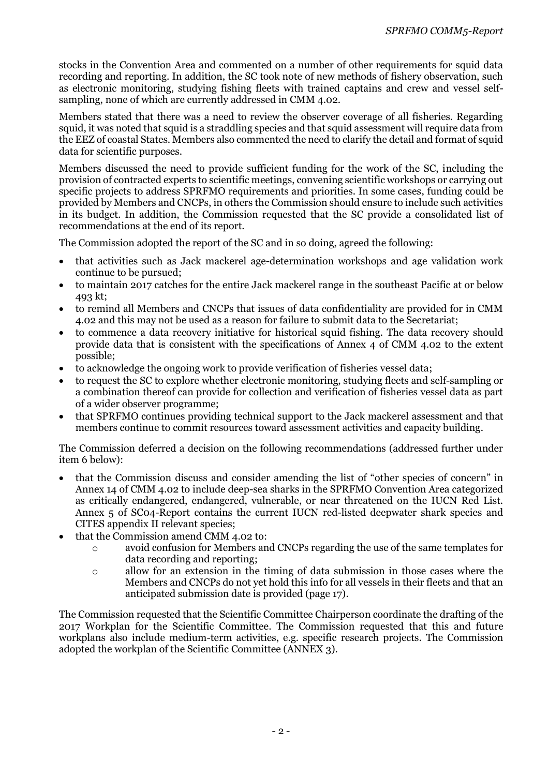stocks in the Convention Area and commented on a number of other requirements for squid data recording and reporting. In addition, the SC took note of new methods of fishery observation, such as electronic monitoring, studying fishing fleets with trained captains and crew and vessel selfsampling, none of which are currently addressed in CMM 4.02.

Members stated that there was a need to review the observer coverage of all fisheries. Regarding squid, it was noted that squid is a straddling species and that squid assessment will require data from the EEZ of coastal States. Members also commented the need to clarify the detail and format of squid data for scientific purposes.

Members discussed the need to provide sufficient funding for the work of the SC, including the provision of contracted experts to scientific meetings, convening scientific workshops or carrying out specific projects to address SPRFMO requirements and priorities. In some cases, funding could be provided by Members and CNCPs, in others the Commission should ensure to include such activities in its budget. In addition, the Commission requested that the SC provide a consolidated list of recommendations at the end of its report.

The Commission adopted the report of the SC and in so doing, agreed the following:

- that activities such as Jack mackerel age-determination workshops and age validation work continue to be pursued;
- to maintain 2017 catches for the entire Jack mackerel range in the southeast Pacific at or below 493 kt;
- to remind all Members and CNCPs that issues of data confidentiality are provided for in CMM 4.02 and this may not be used as a reason for failure to submit data to the Secretariat;
- to commence a data recovery initiative for historical squid fishing. The data recovery should provide data that is consistent with the specifications of Annex 4 of CMM 4.02 to the extent possible;
- to acknowledge the ongoing work to provide verification of fisheries vessel data;
- to request the SC to explore whether electronic monitoring, studying fleets and self-sampling or a combination thereof can provide for collection and verification of fisheries vessel data as part of a wider observer programme;
- that SPRFMO continues providing technical support to the Jack mackerel assessment and that members continue to commit resources toward assessment activities and capacity building.

The Commission deferred a decision on the following recommendations (addressed further under item 6 below):

- that the Commission discuss and consider amending the list of "other species of concern" in Annex 14 of CMM 4.02 to include deep-sea sharks in the SPRFMO Convention Area categorized as critically endangered, endangered, vulnerable, or near threatened on the IUCN Red List. Annex 5 of SC04-Report contains the current IUCN red-listed deepwater shark species and CITES appendix II relevant species;
- that the Commission amend CMM 4.02 to:
	- o avoid confusion for Members and CNCPs regarding the use of the same templates for data recording and reporting;
	- o allow for an extension in the timing of data submission in those cases where the Members and CNCPs do not yet hold this info for all vessels in their fleets and that an anticipated submission date is provided (page 17).

The Commission requested that the Scientific Committee Chairperson coordinate the drafting of the 2017 Workplan for the Scientific Committee. The Commission requested that this and future workplans also include medium-term activities, e.g. specific research projects. The Commission adopted the workplan of the Scientific Committee (ANNEX 3).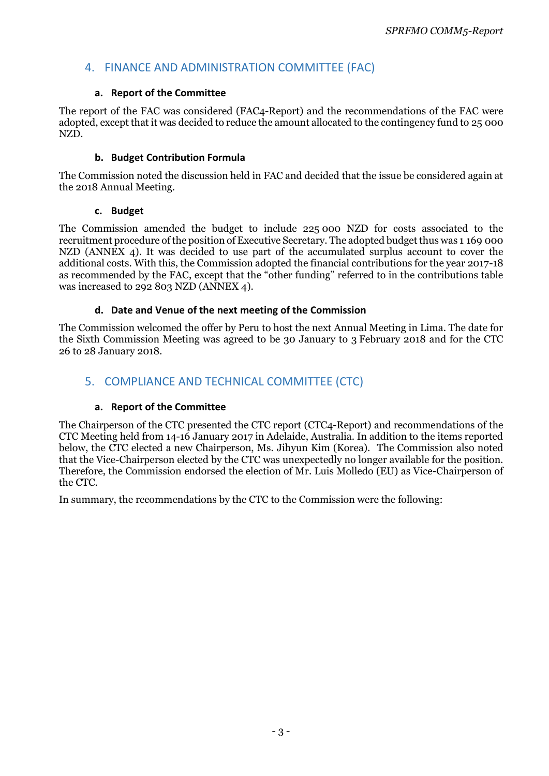# 4. FINANCE AND ADMINISTRATION COMMITTEE (FAC)

### **a. Report of the Committee**

The report of the FAC was considered (FAC4-Report) and the recommendations of the FAC were adopted, except that it was decided to reduce the amount allocated to the contingency fund to 25 000 NZD.

#### **b. Budget Contribution Formula**

The Commission noted the discussion held in FAC and decided that the issue be considered again at the 2018 Annual Meeting.

#### **c. Budget**

The Commission amended the budget to include 225 000 NZD for costs associated to the recruitment procedure of the position of Executive Secretary. The adopted budget thus was 1 169 000 NZD (ANNEX 4). It was decided to use part of the accumulated surplus account to cover the additional costs. With this, the Commission adopted the financial contributions for the year 2017-18 as recommended by the FAC, except that the "other funding" referred to in the contributions table was increased to 292 803 NZD (ANNEX 4).

# **d. Date and Venue of the next meeting of the Commission**

The Commission welcomed the offer by Peru to host the next Annual Meeting in Lima. The date for the Sixth Commission Meeting was agreed to be 30 January to 3 February 2018 and for the CTC 26 to 28 January 2018*.*

# 5. COMPLIANCE AND TECHNICAL COMMITTEE (CTC)

# **a. Report of the Committee**

The Chairperson of the CTC presented the CTC report (CTC4-Report) and recommendations of the CTC Meeting held from 14-16 January 2017 in Adelaide, Australia. In addition to the items reported below, the CTC elected a new Chairperson, Ms. Jihyun Kim (Korea). The Commission also noted that the Vice-Chairperson elected by the CTC was unexpectedly no longer available for the position. Therefore, the Commission endorsed the election of Mr. Luis Molledo (EU) as Vice-Chairperson of the CTC.

In summary, the recommendations by the CTC to the Commission were the following: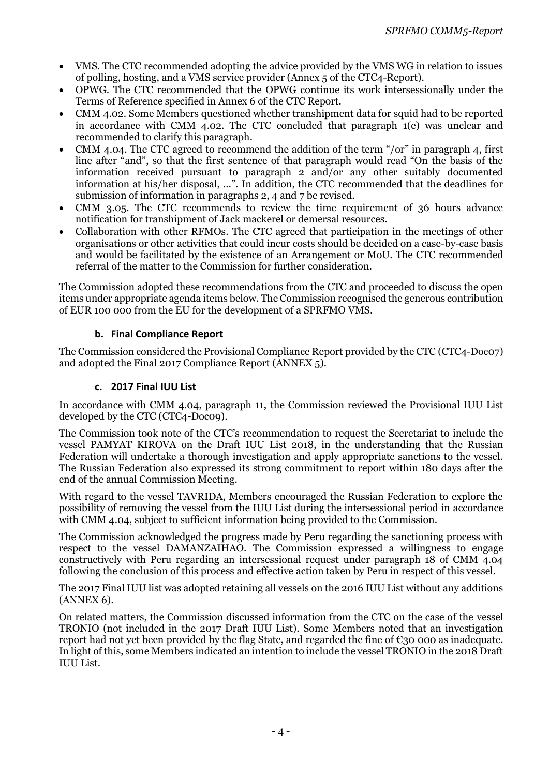- VMS. The CTC recommended adopting the advice provided by the VMS WG in relation to issues of polling, hosting, and a VMS service provider (Annex 5 of the CTC4-Report).
- OPWG. The CTC recommended that the OPWG continue its work intersessionally under the Terms of Reference specified in Annex 6 of the CTC Report.
- CMM 4.02. Some Members questioned whether transhipment data for squid had to be reported in accordance with CMM 4.02. The CTC concluded that paragraph 1(e) was unclear and recommended to clarify this paragraph.
- CMM 4.04. The CTC agreed to recommend the addition of the term "/or" in paragraph 4, first line after "and", so that the first sentence of that paragraph would read "On the basis of the information received pursuant to paragraph 2 and/or any other suitably documented information at his/her disposal, …". In addition, the CTC recommended that the deadlines for submission of information in paragraphs 2, 4 and 7 be revised.
- CMM 3.05. The CTC recommends to review the time requirement of 36 hours advance notification for transhipment of Jack mackerel or demersal resources.
- Collaboration with other RFMOs. The CTC agreed that participation in the meetings of other organisations or other activities that could incur costs should be decided on a case-by-case basis and would be facilitated by the existence of an Arrangement or MoU. The CTC recommended referral of the matter to the Commission for further consideration.

The Commission adopted these recommendations from the CTC and proceeded to discuss the open items under appropriate agenda items below. The Commission recognised the generous contribution of EUR 100 000 from the EU for the development of a SPRFMO VMS.

# **b. Final Compliance Report**

The Commission considered the Provisional Compliance Report provided by the CTC (CTC4-Doc07) and adopted the Final 2017 Compliance Report (ANNEX 5).

#### **c. 2017 Final IUU List**

In accordance with CMM 4.04, paragraph 11, the Commission reviewed the Provisional IUU List developed by the CTC (CTC4-Doc09).

The Commission took note of the CTC's recommendation to request the Secretariat to include the vessel PAMYAT KIROVA on the Draft IUU List 2018, in the understanding that the Russian Federation will undertake a thorough investigation and apply appropriate sanctions to the vessel. The Russian Federation also expressed its strong commitment to report within 180 days after the end of the annual Commission Meeting.

With regard to the vessel TAVRIDA, Members encouraged the Russian Federation to explore the possibility of removing the vessel from the IUU List during the intersessional period in accordance with CMM 4.04, subject to sufficient information being provided to the Commission.

The Commission acknowledged the progress made by Peru regarding the sanctioning process with respect to the vessel DAMANZAIHAO. The Commission expressed a willingness to engage constructively with Peru regarding an intersessional request under paragraph 18 of CMM 4.04 following the conclusion of this process and effective action taken by Peru in respect of this vessel.

The 2017 Final IUU list was adopted retaining all vessels on the 2016 IUU List without any additions (ANNEX 6).

On related matters, the Commission discussed information from the CTC on the case of the vessel TRONIO (not included in the 2017 Draft IUU List). Some Members noted that an investigation report had not yet been provided by the flag State, and regarded the fine of  $\epsilon$ 30 000 as inadequate. In light of this, some Members indicated an intention to include the vessel TRONIO in the 2018 Draft IUU List.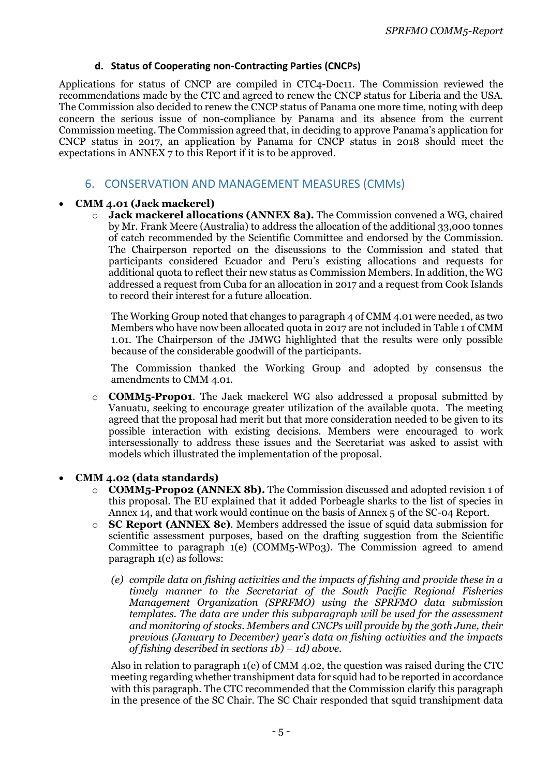#### **d. Status of Cooperating non-Contracting Parties (CNCPs)**

Applications for status of CNCP are compiled in CTC4-Doc11. The Commission reviewed the recommendations made by the CTC and agreed to renew the CNCP status for Liberia and the USA. The Commission also decided to renew the CNCP status of Panama one more time, noting with deep concern the serious issue of non-compliance by Panama and its absence from the current Commission meeting. The Commission agreed that, in deciding to approve Panama's application for CNCP status in 2017, an application by Panama for CNCP status in 2018 should meet the expectations in ANNEX 7 to this Report if it is to be approved.

# 6. CONSERVATION AND MANAGEMENT MEASURES (CMMs)

#### **CMM 4.01 (Jack mackerel)**

o **Jack mackerel allocations (ANNEX 8a).** The Commission convened a WG, chaired by Mr. Frank Meere (Australia) to address the allocation of the additional 33,000 tonnes of catch recommended by the Scientific Committee and endorsed by the Commission. The Chairperson reported on the discussions to the Commission and stated that participants considered Ecuador and Peru's existing allocations and requests for additional quota to reflect their new status as Commission Members. In addition, the WG addressed a request from Cuba for an allocation in 2017 and a request from Cook Islands to record their interest for a future allocation.

The Working Group noted that changes to paragraph 4 of CMM 4.01 were needed, as two Members who have now been allocated quota in 2017 are not included in Table 1 of CMM 1.01. The Chairperson of the JMWG highlighted that the results were only possible because of the considerable goodwill of the participants.

The Commission thanked the Working Group and adopted by consensus the amendments to CMM 4.01*.*

o **COMM5-Prop01**. The Jack mackerel WG also addressed a proposal submitted by Vanuatu, seeking to encourage greater utilization of the available quota. The meeting agreed that the proposal had merit but that more consideration needed to be given to its possible interaction with existing decisions. Members were encouraged to work intersessionally to address these issues and the Secretariat was asked to assist with models which illustrated the implementation of the proposal.

#### **CMM 4.02 (data standards)**

- o **COMM5-Prop02 (ANNEX 8b).** The Commission discussed and adopted revision 1 of this proposal. The EU explained that it added Porbeagle sharks to the list of species in Annex 14, and that work would continue on the basis of Annex 5 of the SC-04 Report.
- o **SC Report (ANNEX 8c)**. Members addressed the issue of squid data submission for scientific assessment purposes, based on the drafting suggestion from the Scientific Committee to paragraph 1(e) (COMM5-WP03). The Commission agreed to amend paragraph 1(e) as follows:
	- *(e) compile data on fishing activities and the impacts of fishing and provide these in a timely manner to the Secretariat of the South Pacific Regional Fisheries Management Organization (SPRFMO) using the SPRFMO data submission templates. The data are under this subparagraph will be used for the assessment and monitoring of stocks. Members and CNCPs will provide by the 30th June, their previous (January to December) year's data on fishing activities and the impacts of fishing described in sections 1b) – 1d) above.*

Also in relation to paragraph 1(e) of CMM 4.02, the question was raised during the CTC meeting regarding whether transhipment data for squid had to be reported in accordance with this paragraph. The CTC recommended that the Commission clarify this paragraph in the presence of the SC Chair. The SC Chair responded that squid transhipment data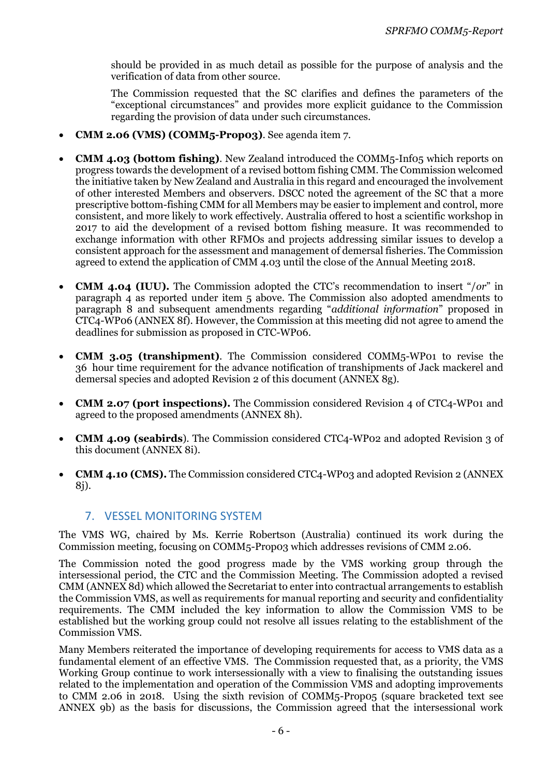should be provided in as much detail as possible for the purpose of analysis and the verification of data from other source.

The Commission requested that the SC clarifies and defines the parameters of the "exceptional circumstances" and provides more explicit guidance to the Commission regarding the provision of data under such circumstances.

- **CMM 2.06 (VMS) (COMM5-Prop03)**. See agenda item 7.
- **CMM 4.03 (bottom fishing)**. New Zealand introduced the COMM5-Inf05 which reports on progress towards the development of a revised bottom fishing CMM. The Commission welcomed the initiative taken by New Zealand and Australia in this regard and encouraged the involvement of other interested Members and observers. DSCC noted the agreement of the SC that a more prescriptive bottom-fishing CMM for all Members may be easier to implement and control, more consistent, and more likely to work effectively. Australia offered to host a scientific workshop in 2017 to aid the development of a revised bottom fishing measure. It was recommended to exchange information with other RFMOs and projects addressing similar issues to develop a consistent approach for the assessment and management of demersal fisheries. The Commission agreed to extend the application of CMM 4.03 until the close of the Annual Meeting 2018.
- **CMM 4.04 (IUU).** The Commission adopted the CTC's recommendation to insert "/*or*" in paragraph 4 as reported under item 5 above. The Commission also adopted amendments to paragraph 8 and subsequent amendments regarding "*additional information*" proposed in CTC4-WP06 (ANNEX 8f). However, the Commission at this meeting did not agree to amend the deadlines for submission as proposed in CTC-WP06.
- **CMM 3.05 (transhipment)**. The Commission considered COMM5-WP01 to revise the 36 hour time requirement for the advance notification of transhipments of Jack mackerel and demersal species and adopted Revision 2 of this document (ANNEX 8g).
- **CMM 2.07 (port inspections).** The Commission considered Revision 4 of CTC4-WP01 and agreed to the proposed amendments (ANNEX 8h).
- **CMM 4.09 (seabirds**). The Commission considered CTC4-WP02 and adopted Revision 3 of this document (ANNEX 8i).
- **CMM 4.10 (CMS).** The Commission considered CTC4-WP03 and adopted Revision 2 (ANNEX 8j).

# 7. VESSEL MONITORING SYSTEM

The VMS WG, chaired by Ms. Kerrie Robertson (Australia) continued its work during the Commission meeting, focusing on COMM5-Prop03 which addresses revisions of CMM 2.06.

The Commission noted the good progress made by the VMS working group through the intersessional period, the CTC and the Commission Meeting. The Commission adopted a revised CMM (ANNEX 8d) which allowed the Secretariat to enter into contractual arrangements to establish the Commission VMS, as well as requirements for manual reporting and security and confidentiality requirements. The CMM included the key information to allow the Commission VMS to be established but the working group could not resolve all issues relating to the establishment of the Commission VMS.

Many Members reiterated the importance of developing requirements for access to VMS data as a fundamental element of an effective VMS. The Commission requested that, as a priority, the VMS Working Group continue to work intersessionally with a view to finalising the outstanding issues related to the implementation and operation of the Commission VMS and adopting improvements to CMM 2.06 in 2018. Using the sixth revision of COMM5-Prop05 (square bracketed text see ANNEX 9b) as the basis for discussions, the Commission agreed that the intersessional work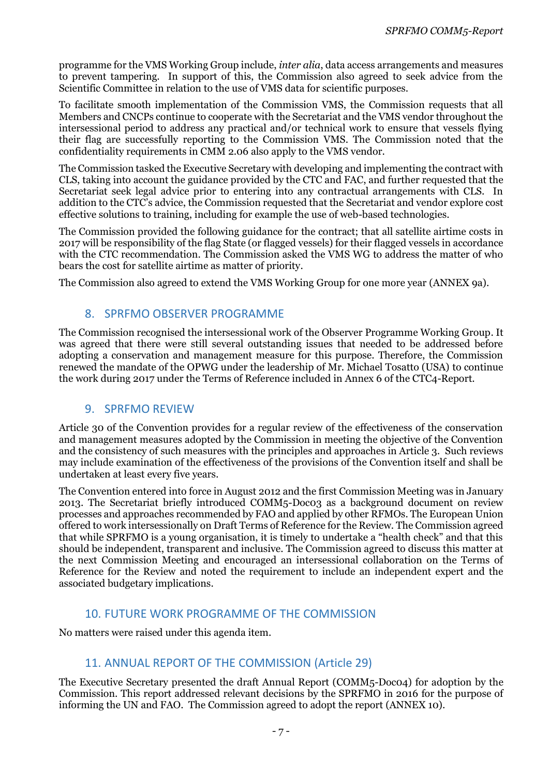programme for the VMS Working Group include, *inter alia*, data access arrangements and measures to prevent tampering. In support of this, the Commission also agreed to seek advice from the Scientific Committee in relation to the use of VMS data for scientific purposes.

To facilitate smooth implementation of the Commission VMS, the Commission requests that all Members and CNCPs continue to cooperate with the Secretariat and the VMS vendor throughout the intersessional period to address any practical and/or technical work to ensure that vessels flying their flag are successfully reporting to the Commission VMS. The Commission noted that the confidentiality requirements in CMM 2.06 also apply to the VMS vendor.

The Commission tasked the Executive Secretary with developing and implementing the contract with CLS, taking into account the guidance provided by the CTC and FAC, and further requested that the Secretariat seek legal advice prior to entering into any contractual arrangements with CLS. In addition to the CTC's advice, the Commission requested that the Secretariat and vendor explore cost effective solutions to training, including for example the use of web-based technologies.

The Commission provided the following guidance for the contract; that all satellite airtime costs in 2017 will be responsibility of the flag State (or flagged vessels) for their flagged vessels in accordance with the CTC recommendation. The Commission asked the VMS WG to address the matter of who bears the cost for satellite airtime as matter of priority.

The Commission also agreed to extend the VMS Working Group for one more year (ANNEX 9a).

# 8. SPRFMO OBSERVER PROGRAMME

The Commission recognised the intersessional work of the Observer Programme Working Group. It was agreed that there were still several outstanding issues that needed to be addressed before adopting a conservation and management measure for this purpose. Therefore, the Commission renewed the mandate of the OPWG under the leadership of Mr. Michael Tosatto (USA) to continue the work during 2017 under the Terms of Reference included in Annex 6 of the CTC4-Report.

#### 9. SPRFMO REVIEW

Article 30 of the Convention provides for a regular review of the effectiveness of the conservation and management measures adopted by the Commission in meeting the objective of the Convention and the consistency of such measures with the principles and approaches in Article 3. Such reviews may include examination of the effectiveness of the provisions of the Convention itself and shall be undertaken at least every five years*.* 

The Convention entered into force in August 2012 and the first Commission Meeting was in January 2013. The Secretariat briefly introduced COMM5-Doc03 as a background document on review processes and approaches recommended by FAO and applied by other RFMOs. The European Union offered to work intersessionally on Draft Terms of Reference for the Review. The Commission agreed that while SPRFMO is a young organisation, it is timely to undertake a "health check" and that this should be independent, transparent and inclusive. The Commission agreed to discuss this matter at the next Commission Meeting and encouraged an intersessional collaboration on the Terms of Reference for the Review and noted the requirement to include an independent expert and the associated budgetary implications.

# 10. FUTURE WORK PROGRAMME OF THE COMMISSION

No matters were raised under this agenda item.

# 11. ANNUAL REPORT OF THE COMMISSION (Article 29)

The Executive Secretary presented the draft Annual Report (COMM5-Doc04) for adoption by the Commission. This report addressed relevant decisions by the SPRFMO in 2016 for the purpose of informing the UN and FAO. The Commission agreed to adopt the report (ANNEX 10).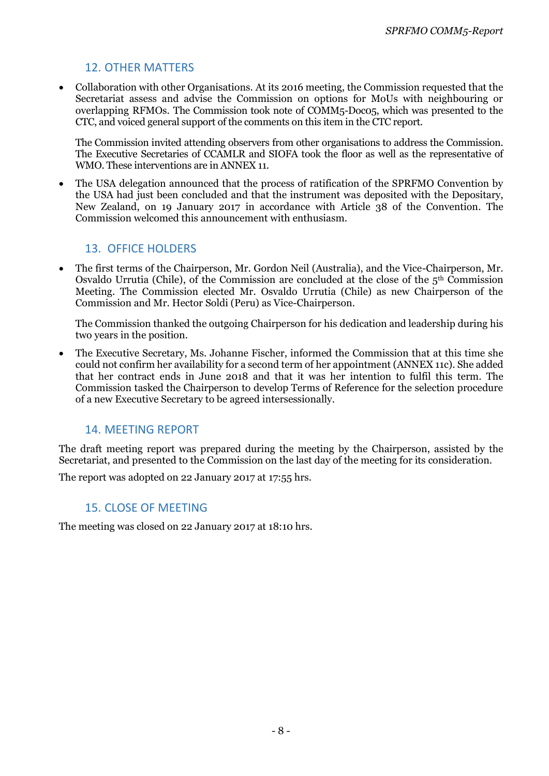# 12. OTHER MATTERS

 Collaboration with other Organisations. At its 2016 meeting, the Commission requested that the Secretariat assess and advise the Commission on options for MoUs with neighbouring or overlapping RFMOs. The Commission took note of COMM5-Doc05, which was presented to the CTC, and voiced general support of the comments on this item in the CTC report.

The Commission invited attending observers from other organisations to address the Commission. The Executive Secretaries of CCAMLR and SIOFA took the floor as well as the representative of WMO. These interventions are in ANNEX 11.

 The USA delegation announced that the process of ratification of the SPRFMO Convention by the USA had just been concluded and that the instrument was deposited with the Depositary, New Zealand, on 19 January 2017 in accordance with Article 38 of the Convention. The Commission welcomed this announcement with enthusiasm.

# 13. OFFICE HOLDERS

 The first terms of the Chairperson, Mr. Gordon Neil (Australia), and the Vice-Chairperson, Mr. Osvaldo Urrutia (Chile), of the Commission are concluded at the close of the  $5<sup>th</sup>$  Commission Meeting. The Commission elected Mr. Osvaldo Urrutia (Chile) as new Chairperson of the Commission and Mr. Hector Soldi (Peru) as Vice-Chairperson.

The Commission thanked the outgoing Chairperson for his dedication and leadership during his two years in the position.

 The Executive Secretary, Ms. Johanne Fischer, informed the Commission that at this time she could not confirm her availability for a second term of her appointment (ANNEX 11c). She added that her contract ends in June 2018 and that it was her intention to fulfil this term. The Commission tasked the Chairperson to develop Terms of Reference for the selection procedure of a new Executive Secretary to be agreed intersessionally.

# 14. MEETING REPORT

The draft meeting report was prepared during the meeting by the Chairperson, assisted by the Secretariat, and presented to the Commission on the last day of the meeting for its consideration.

The report was adopted on 22 January 2017 at 17:55 hrs.

# 15. CLOSE OF MEETING

The meeting was closed on 22 January 2017 at 18:10 hrs.